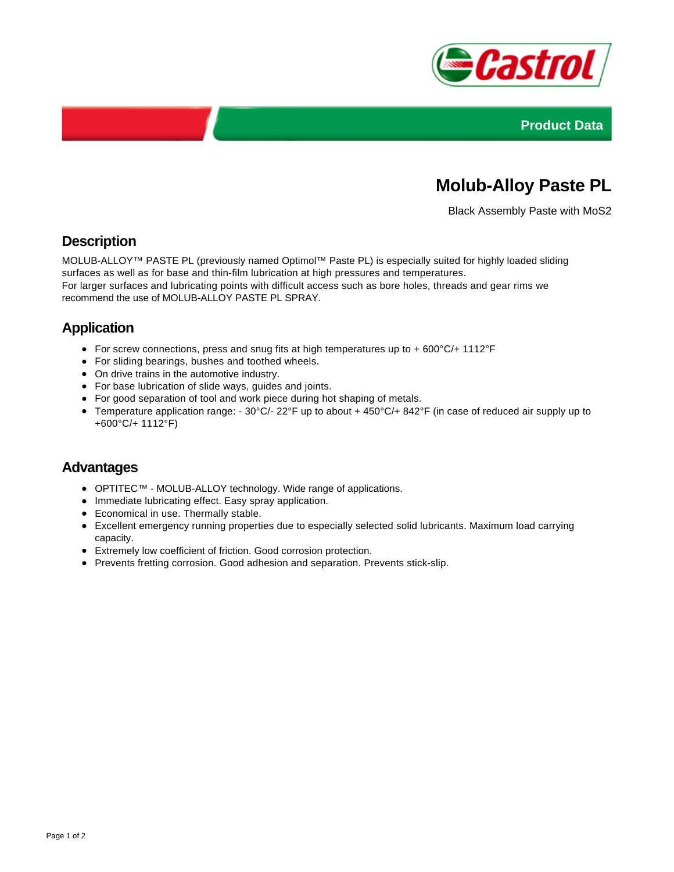



# **Molub-Alloy Paste PL**

Black Assembly Paste with MoS2

## **Description**

MOLUB-ALLOY™ PASTE PL (previously named Optimol™ Paste PL) is especially suited for highly loaded sliding surfaces as well as for base and thin-film lubrication at high pressures and temperatures. For larger surfaces and lubricating points with difficult access such as bore holes, threads and gear rims we recommend the use of MOLUB-ALLOY PASTE PL SPRAY.

# **Application**

- For screw connections, press and snug fits at high temperatures up to + 600°C/+ 1112°F
- For sliding bearings, bushes and toothed wheels.
- On drive trains in the automotive industry.
- For base lubrication of slide ways, guides and joints.
- For good separation of tool and work piece during hot shaping of metals.
- Temperature application range: 30°C/- 22°F up to about + 450°C/+ 842°F (in case of reduced air supply up to +600°C/+ 1112°F)

#### **Advantages**

- OPTITEC™ MOLUB-ALLOY technology. Wide range of applications.
- Immediate lubricating effect. Easy spray application.
- Economical in use. Thermally stable.
- Excellent emergency running properties due to especially selected solid lubricants. Maximum load carrying capacity.
- Extremely low coefficient of friction. Good corrosion protection.
- Prevents fretting corrosion. Good adhesion and separation. Prevents stick-slip.